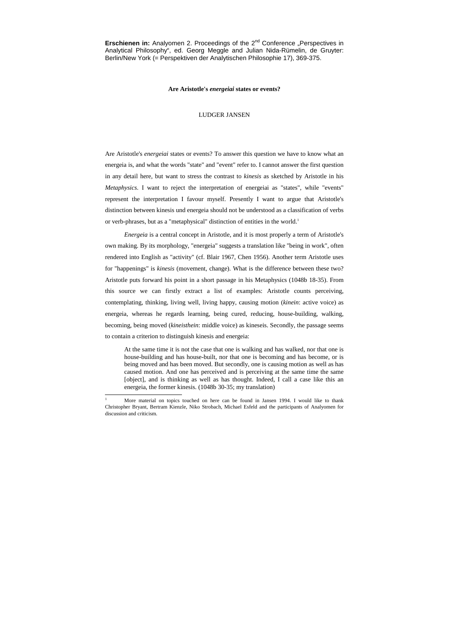**Erschienen in:** Analyomen 2. Proceedings of the 2<sup>nd</sup> Conference "Perspectives in Analytical Philosophy", ed. Georg Meggle and Julian Nida-Rümelin, de Gruyter: Berlin/New York (= Perspektiven der Analytischen Philosophie 17), 369-375.

Are Aristotle's *energeiai* states or events? To answer this question we have to know what an energeia is, and what the words "state" and "event" refer to. I cannot answer the first question in any detail here, but want to stress the contrast to *kinesis* as sketched by Aristotle in his *Metaphysics*. I want to reject the interpretation of energeiai as "states", while "events" represent the interpretation I favour myself. Presently I want to argue that Aristotle's distinction between kinesis und energeia should not be understood as a classification of verbs or verb-phrases, but as a "metaphysical" distinction of entities in the world.<sup>1</sup>

## **Are Aristotle's** *energeiai* **states or events?**

## LUDGER JANSEN

*Energeia* is a central concept in Aristotle, and it is most properly a term of Aristotle's own making. By its morphology, "energeia" suggests a translation like "being in work", often rendered into English as "activity" (cf. Blair 1967, Chen 1956). Another term Aristotle uses for "happenings" is *kinesis* (movement, change). What is the difference between these two? Aristotle puts forward his point in a short passage in his Metaphysics (1048b 18-35). From this source we can firstly extract a list of examples: Aristotle counts perceiving, contemplating, thinking, living well, living happy, causing motion (*kinein*: active voice) as energeia, whereas he regards learning, being cured, reducing, house-building, walking, becoming, being moved (*kineisthein*: middle voice) as kineseis. Secondly, the passage seems to contain a criterion to distinguish kinesis and energeia:

At the same time it is not the case that one is walking and has walked, nor that one is house-building and has house-built, nor that one is becoming and has become, or is being moved and has been moved. But secondly, one is causing motion as well as has caused motion. And one has perceived and is perceiving at the same time the same [object], and is thinking as well as has thought. Indeed, I call a case like this an energeia, the former kinesis. (1048b 30-35; my translation)

 $\frac{1}{1}$  More material on topics touched on here can be found in Jansen 1994. I would like to thank Christopher Bryant, Bertram Kienzle, Niko Strobach, Michael Esfeld and the participants of Analyomen for discussion and criticism.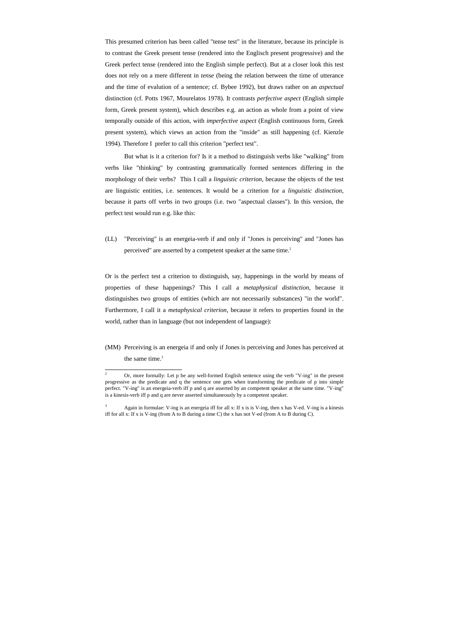This presumed criterion has been called "tense test" in the literature, because its principle is to contrast the Greek present tense (rendered into the Englisch present progressive) and the Greek perfect tense (rendered into the English simple perfect). But at a closer look this test does not rely on a mere different in *tense* (being the relation between the time of utterance and the time of evalution of a sentence; cf. Bybee 1992), but draws rather on an *aspectual* distinction (cf. Potts 1967, Mourelatos 1978). It contrasts *perfective aspect* (English simple form, Greek present system), which describes e.g. an action as whole from a point of view temporally outside of this action, with *imperfective aspect* (English continuous form, Greek present system), which views an action from the "inside" as still happening (cf. Kienzle 1994). Therefore I prefer to call this criterion "perfect test".

(LL) "Perceiving" is an energeia-verb if and only if "Jones is perceiving" and "Jones has perceived" are asserted by a competent speaker at the same time.<sup>2</sup>

(MM) Perceiving is an energeia if and only if Jones is perceiving and Jones has perceived at the same time.<sup>3</sup>

But what is it a criterion for? Is it a method to distinguish verbs like "walking" from verbs like "thinking" by contrasting grammatically formed sentences differing in the morphology of their verbs? This I call a *linguistic criterion*, because the objects of the test are linguistic entities, i.e. sentences. It would be a criterion for a *linguistic distinction*, because it parts off verbs in two groups (i.e. two "aspectual classes"). In this version, the perfect test would run e.g. like this:

Or is the perfect test a criterion to distinguish, say, happenings in the world by means of properties of these happenings? This I call a *metaphysical distinction*, because it distinguishes two groups of entities (which are not necessarily substances) "in the world". Furthermore, I call it a *metaphysical criterion*, because it refers to properties found in the world, rather than in language (but not independent of language):

l

<sup>2</sup> Or, more formally: Let p be any well-formed English sentence using the verb "V-ing" in the present progressive as the predicate and q the sentence one gets when transforming the predicate of p into simple perfect. "V-ing" is an energeia-verb iff p and q are asserted by an competent speaker at the same time. "V-ing" is a kinesis-verb iff p and q are never asserted simultaneously by a competent speaker.

<sup>3</sup> Again in formulae: V-ing is an energeia iff for all x: If x is is V-ing, then x has V-ed. V-ing is a kinesis iff for all x: If x is V-ing (from A to B during a time C) the x has not V-ed (from A to B during C).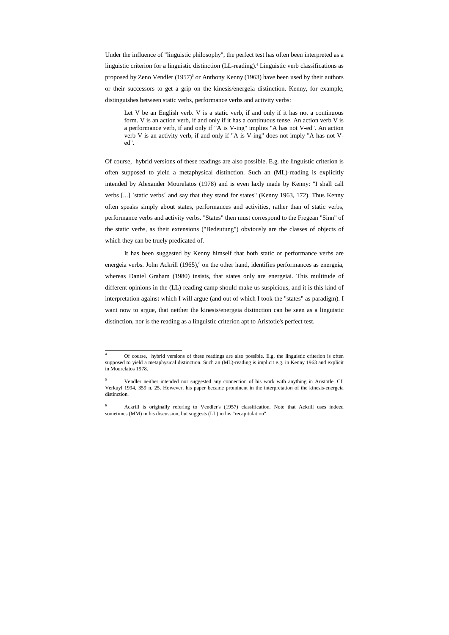Under the influence of "linguistic philosophy", the perfect test has often been interpreted as a linguistic criterion for a linguistic distinction (LL-reading).<sup>4</sup> Linguistic verb classifications as proposed by Zeno Vendler  $(1957)^5$  or Anthony Kenny  $(1963)$  have been used by their authors or their successors to get a grip on the kinesis/energeia distinction. Kenny, for example, distinguishes between static verbs, performance verbs and activity verbs:

Let V be an English verb. V is a static verb, if and only if it has not a continuous form. V is an action verb, if and only if it has a continuous tense. An action verb V is a performance verb, if and only if "A is V-ing" implies "A has not V-ed". An action verb V is an activity verb, if and only if "A is V-ing" does not imply "A has not Ved".

Of course, hybrid versions of these readings are also possible. E.g. the linguistic criterion is often supposed to yield a metaphysical distinction. Such an (ML)-reading is explicitly intended by Alexander Mourelatos (1978) and is even laxly made by Kenny: "I shall call verbs [...] `static verbs´ and say that they stand for states" (Kenny 1963, 172). Thus Kenny often speaks simply about states, performances and activities, rather than of static verbs, performance verbs and activity verbs. "States" then must correspond to the Fregean "Sinn" of the static verbs, as their extensions ("Bedeutung") obviously are the classes of objects of which they can be truely predicated of.

It has been suggested by Kenny himself that both static or performance verbs are energeia verbs. John Ackrill (1965),<sup>6</sup> on the other hand, identifies performances as energeia, whereas Daniel Graham (1980) insists, that states only are energeiai. This multitude of different opinions in the (LL)-reading camp should make us suspicious, and it is this kind of interpretation against which I will argue (and out of which I took the "states" as paradigm). I want now to argue, that neither the kinesis/energeia distinction can be seen as a linguistic distinction, nor is the reading as a linguistic criterion apt to Aristotle's perfect test.

l

<sup>4</sup> Of course, hybrid versions of these readings are also possible. E.g. the linguistic criterion is often supposed to yield a metaphysical distinction. Such an (ML)-reading is implicit e.g. in Kenny 1963 and explicit in Mourelatos 1978.

<sup>5</sup> Vendler neither intended nor suggested any connection of his work with anything in Aristotle. Cf. Verkuyl 1994, 359 n. 25. However, his paper became prominent in the interpretation of the kinesis-energeia distinction.

<sup>6</sup> Ackrill is originally refering to Vendler's (1957) classification. Note that Ackrill uses indeed sometimes (MM) in his discussion, but suggests (LL) in his "recapitulation".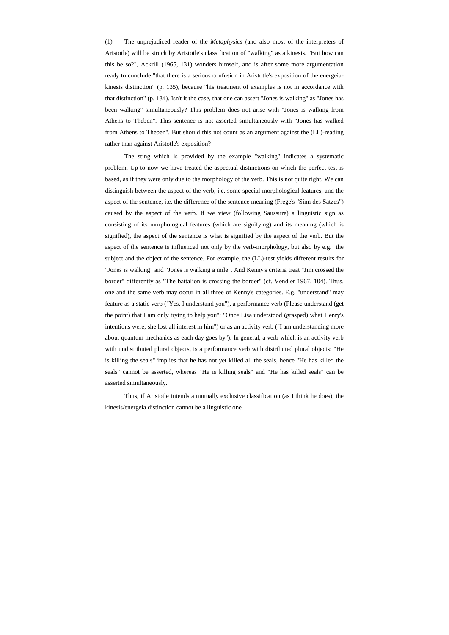(1) The unprejudiced reader of the *Metaphysics* (and also most of the interpreters of Aristotle) will be struck by Aristotle's classification of "walking" as a kinesis. "But how can this be so?", Ackrill (1965, 131) wonders himself, and is after some more argumentation ready to conclude "that there is a serious confusion in Aristotle's exposition of the energeiakinesis distinction" (p. 135), because "his treatment of examples is not in accordance with that distinction" (p. 134). Isn't it the case, that one can assert "Jones is walking" as "Jones has been walking" simultaneously? This problem does not arise with "Jones is walking from Athens to Theben". This sentence is not asserted simultaneously with "Jones has walked from Athens to Theben". But should this not count as an argument against the (LL)-reading rather than against Aristotle's exposition?

The sting which is provided by the example "walking" indicates a systematic problem. Up to now we have treated the aspectual distinctions on which the perfect test is based, as if they were only due to the morphology of the verb. This is not quite right. We can distinguish between the aspect of the verb, i.e. some special morphological features, and the aspect of the sentence, i.e. the difference of the sentence meaning (Frege's "Sinn des Satzes") caused by the aspect of the verb. If we view (following Saussure) a linguistic sign as consisting of its morphological features (which are signifying) and its meaning (which is signified), the aspect of the sentence is what is signified by the aspect of the verb. But the aspect of the sentence is influenced not only by the verb-morphology, but also by e.g. the subject and the object of the sentence. For example, the (LL)-test yields different results for "Jones is walking" and "Jones is walking a mile". And Kenny's criteria treat "Jim crossed the border" differently as "The battalion is crossing the border" (cf. Vendler 1967, 104). Thus, one and the same verb may occur in all three of Kenny's categories. E.g. "understand" may feature as a static verb ("Yes, I understand you"), a performance verb (Please understand (get the point) that I am only trying to help you"; "Once Lisa understood (grasped) what Henry's intentions were, she lost all interest in him") or as an activity verb ("I am understanding more about quantum mechanics as each day goes by"). In general, a verb which is an activity verb with undistributed plural objects, is a performance verb with distributed plural objects: "He is killing the seals" implies that he has not yet killed all the seals, hence "He has killed the seals" cannot be asserted, whereas "He is killing seals" and "He has killed seals" can be asserted simultaneously.

Thus, if Aristotle intends a mutually exclusive classification (as I think he does), the kinesis/energeia distinction cannot be a linguistic one.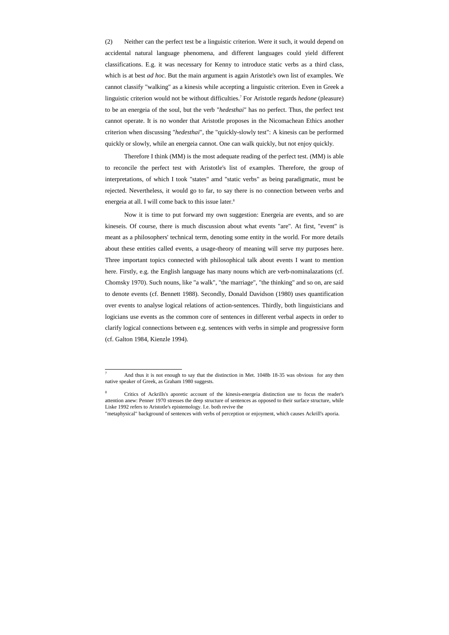(2) Neither can the perfect test be a linguistic criterion. Were it such, it would depend on accidental natural language phenomena, and different languages could yield different classifications. E.g. it was necessary for Kenny to introduce static verbs as a third class, which is at best *ad hoc*. But the main argument is again Aristotle's own list of examples. We cannot classify "walking" as a kinesis while accepting a linguistic criterion. Even in Greek a linguistic criterion would not be without difficulties.<sup>7</sup> For Aristotle regards *hedone* (pleasure) to be an energeia of the soul, but the verb "*hedesthai*" has no perfect. Thus, the perfect test cannot operate. It is no wonder that Aristotle proposes in the Nicomachean Ethics another criterion when discussing "*hedesthai*", the "quickly-slowly test": A kinesis can be performed quickly or slowly, while an energeia cannot. One can walk quickly, but not enjoy quickly.

 Therefore I think (MM) is the most adequate reading of the perfect test. (MM) is able to reconcile the perfect test with Aristotle's list of examples. Therefore, the group of interpretations, of which I took "states" amd "static verbs" as being paradigmatic, must be rejected. Nevertheless, it would go to far, to say there is no connection between verbs and energeia at all. I will come back to this issue later.<sup>8</sup>

 Now it is time to put forward my own suggestion: Energeia are events, and so are kineseis. Of course, there is much discussion about what events "are". At first, "event" is meant as a philosophers' technical term, denoting some entity in the world. For more details about these entities called events, a usage-theory of meaning will serve my purposes here. Three important topics connected with philosophical talk about events I want to mention here. Firstly, e.g. the English language has many nouns which are verb-nominalazations (cf. Chomsky 1970). Such nouns, like "a walk", "the marriage", "the thinking" and so on, are said to denote events (cf. Bennett 1988). Secondly, Donald Davidson (1980) uses quantification over events to analyse logical relations of action-sentences. Thirdly, both linguisticians and logicians use events as the common core of sentences in different verbal aspects in order to clarify logical connections between e.g. sentences with verbs in simple and progressive form (cf. Galton 1984, Kienzle 1994).

-

"metaphysical" background of sentences with verbs of perception or enjoyment, which causes Ackrill's aporia.

<sup>7</sup> And thus it is not enough to say that the distinction in Met. 1048b 18-35 was obvious for any then native speaker of Greek, as Graham 1980 suggests.

<sup>8</sup> Critics of Ackrills's aporetic account of the kinesis-energeia distinction use to focus the reader's attention anew: Penner 1970 stresses the deep structure of sentences as opposed to their surface structure, while Liske 1992 refers to Aristotle's epistemology. I.e. both revive the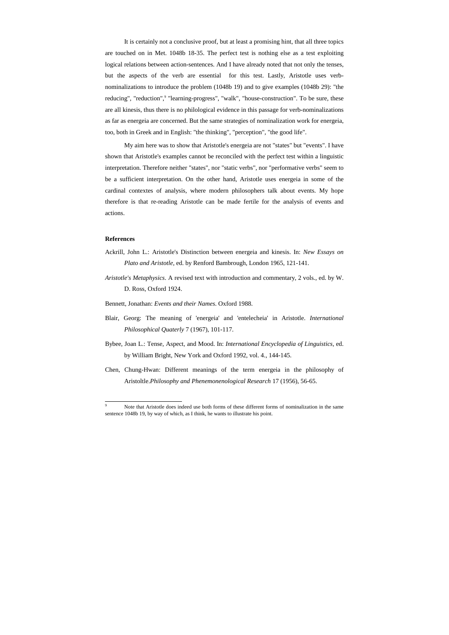It is certainly not a conclusive proof, but at least a promising hint, that all three topics are touched on in Met. 1048b 18-35. The perfect test is nothing else as a test exploiting logical relations between action-sentences. And I have already noted that not only the tenses, but the aspects of the verb are essential for this test. Lastly, Aristotle uses verbnominalizations to introduce the problem (1048b 19) and to give examples (1048b 29): "the reducing", "reduction",<sup>9</sup> "learning-progress", "walk", "house-construction". To be sure, these are all kinesis, thus there is no philological evidence in this passage for verb-nominalizations as far as energeia are concerned. But the same strategies of nominalization work for energeia, too, both in Greek and in English: "the thinking", "perception", "the good life".

 My aim here was to show that Aristotle's energeia are not "states" but "events". I have shown that Aristotle's examples cannot be reconciled with the perfect test within a linguistic interpretation. Therefore neither "states", nor "static verbs", nor "performative verbs" seem to be a sufficient interpretation. On the other hand, Aristotle uses energeia in some of the cardinal contextes of analysis, where modern philosophers talk about events. My hope therefore is that re-reading Aristotle can be made fertile for the analysis of events and actions.

## **References**

- Ackrill, John L.: Aristotle's Distinction between energeia and kinesis. In: *New Essays on Plato and Aristotle*, ed. by Renford Bambrough, London 1965, 121-141.
- *Aristotle's Metaphysics*. A revised text with introduction and commentary, 2 vols., ed. by W. D. Ross, Oxford 1924.
- Bennett, Jonathan: *Events and their Names*. Oxford 1988.
- Blair, Georg: The meaning of 'energeia' and 'entelecheia' in Aristotle. *International Philosophical Quaterly* 7 (1967), 101-117.
- Bybee, Joan L.: Tense, Aspect, and Mood. In: *International Encyclopedia of Linguistics*, ed. by William Bright, New York and Oxford 1992, vol. 4., 144-145.
- Chen, Chung-Hwan: Different meanings of the term energeia in the philosophy of Aristoltle.*Philosophy and Phenemonenological Research* 17 (1956), 56-65.

<sup>&</sup>lt;sup>9</sup> Note that Aristotle does indeed use both forms of these different forms of nominalization in the same sentence 1048b 19, by way of which, as I think, he wants to illustrate his point.